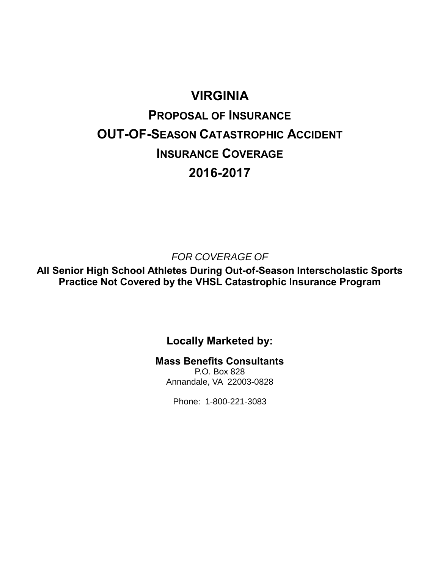# **VIRGINIA**

# **PROPOSAL OF INSURANCE OUT-OF-SEASON CATASTROPHIC ACCIDENT INSURANCE COVERAGE 2016-2017**

*FOR COVERAGE OF*

**All Senior High School Athletes During Out-of-Season Interscholastic Sports Practice Not Covered by the VHSL Catastrophic Insurance Program**

# **Locally Marketed by:**

**Mass Benefits Consultants**

P.O. Box 828 Annandale, VA 22003-0828

Phone: 1-800-221-3083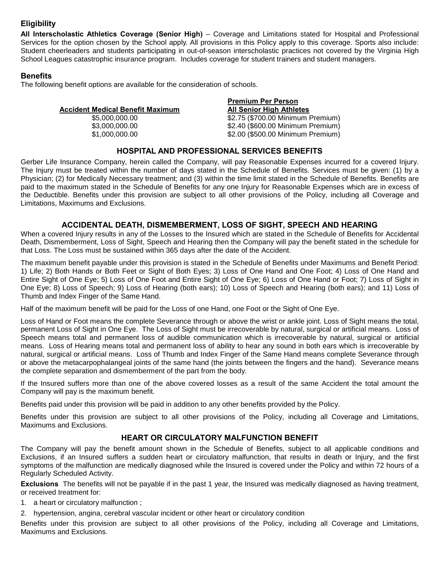# **Eligibility**

**All Interscholastic Athletics Coverage (Senior High)** – Coverage and Limitations stated for Hospital and Professional Services for the option chosen by the School apply. All provisions in this Policy apply to this coverage. Sports also include: Student cheerleaders and students participating in out-of-season interscholastic practices not covered by the Virginia High School Leagues catastrophic insurance program. Includes coverage for student trainers and student managers.

# **Benefits**

The following benefit options are available for the consideration of schools.

|                                  | <b>Premium Per Person</b><br><b>All Senior High Athletes</b> |  |
|----------------------------------|--------------------------------------------------------------|--|
| Accident Medical Benefit Maximum |                                                              |  |
| \$5,000,000,00                   | \$2.75 (\$700.00 Minimum Premium)                            |  |
| \$3,000,000,00                   | \$2.40 (\$600.00 Minimum Premium)                            |  |
| \$1,000,000.00                   | \$2.00 (\$500.00 Minimum Premium)                            |  |
|                                  |                                                              |  |

# **HOSPITAL AND PROFESSIONAL SERVICES BENEFITS**

Gerber Life Insurance Company, herein called the Company, will pay Reasonable Expenses incurred for a covered Injury. The Injury must be treated within the number of days stated in the Schedule of Benefits. Services must be given: (1) by a Physician; (2) for Medically Necessary treatment; and (3) within the time limit stated in the Schedule of Benefits. Benefits are paid to the maximum stated in the Schedule of Benefits for any one Injury for Reasonable Expenses which are in excess of the Deductible. Benefits under this provision are subject to all other provisions of the Policy, including all Coverage and Limitations, Maximums and Exclusions.

## **ACCIDENTAL DEATH, DISMEMBERMENT, LOSS OF SIGHT, SPEECH AND HEARING**

When a covered Injury results in any of the Losses to the Insured which are stated in the Schedule of Benefits for Accidental Death, Dismemberment, Loss of Sight, Speech and Hearing then the Company will pay the benefit stated in the schedule for that Loss. The Loss must be sustained within 365 days after the date of the Accident.

The maximum benefit payable under this provision is stated in the Schedule of Benefits under Maximums and Benefit Period: 1) Life; 2) Both Hands or Both Feet or Sight of Both Eyes; 3) Loss of One Hand and One Foot; 4) Loss of One Hand and Entire Sight of One Eye; 5) Loss of One Foot and Entire Sight of One Eye; 6) Loss of One Hand or Foot; 7) Loss of Sight in One Eye; 8) Loss of Speech; 9) Loss of Hearing (both ears); 10) Loss of Speech and Hearing (both ears); and 11) Loss of Thumb and Index Finger of the Same Hand.

Half of the maximum benefit will be paid for the Loss of one Hand, one Foot or the Sight of One Eye.

Loss of Hand or Foot means the complete Severance through or above the wrist or ankle joint. Loss of Sight means the total, permanent Loss of Sight in One Eye. The Loss of Sight must be irrecoverable by natural, surgical or artificial means. Loss of Speech means total and permanent loss of audible communication which is irrecoverable by natural, surgical or artificial means. Loss of Hearing means total and permanent loss of ability to hear any sound in both ears which is irrecoverable by natural, surgical or artificial means. Loss of Thumb and Index Finger of the Same Hand means complete Severance through or above the metacarpophalangeal joints of the same hand (the joints between the fingers and the hand). Severance means the complete separation and dismemberment of the part from the body.

If the Insured suffers more than one of the above covered losses as a result of the same Accident the total amount the Company will pay is the maximum benefit.

Benefits paid under this provision will be paid in addition to any other benefits provided by the Policy.

Benefits under this provision are subject to all other provisions of the Policy, including all Coverage and Limitations, Maximums and Exclusions.

# **HEART OR CIRCULATORY MALFUNCTION BENEFIT**

The Company will pay the benefit amount shown in the Schedule of Benefits, subject to all applicable conditions and Exclusions, if an Insured suffers a sudden heart or circulatory malfunction, that results in death or Injury, and the first symptoms of the malfunction are medically diagnosed while the Insured is covered under the Policy and within 72 hours of a Regularly Scheduled Activity.

**Exclusions** The benefits will not be payable if in the past 1 year, the Insured was medically diagnosed as having treatment, or received treatment for:

1. a heart or circulatory malfunction ;

2. hypertension, angina, cerebral vascular incident or other heart or circulatory condition

Benefits under this provision are subject to all other provisions of the Policy, including all Coverage and Limitations, Maximums and Exclusions.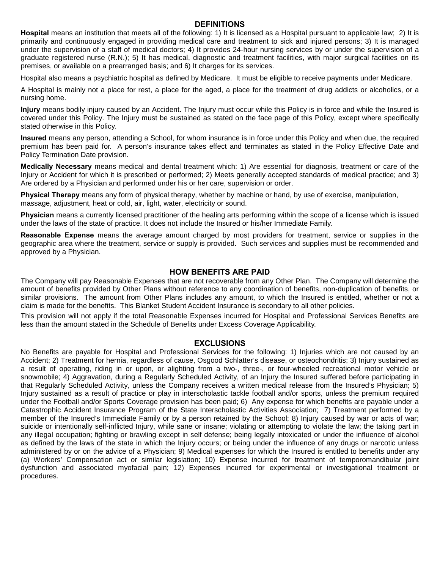#### **DEFINITIONS**

**Hospital** means an institution that meets all of the following: 1) It is licensed as a Hospital pursuant to applicable law; 2) It is primarily and continuously engaged in providing medical care and treatment to sick and injured persons; 3) It is managed under the supervision of a staff of medical doctors; 4) It provides 24-hour nursing services by or under the supervision of a graduate registered nurse (R.N.); 5) It has medical, diagnostic and treatment facilities, with major surgical facilities on its premises, or available on a prearranged basis; and 6) It charges for its services.

Hospital also means a psychiatric hospital as defined by Medicare. It must be eligible to receive payments under Medicare.

A Hospital is mainly not a place for rest, a place for the aged, a place for the treatment of drug addicts or alcoholics, or a nursing home.

**Injury** means bodily injury caused by an Accident. The Injury must occur while this Policy is in force and while the Insured is covered under this Policy. The Injury must be sustained as stated on the face page of this Policy, except where specifically stated otherwise in this Policy.

**Insured** means any person, attending a School, for whom insurance is in force under this Policy and when due, the required premium has been paid for. A person's insurance takes effect and terminates as stated in the Policy Effective Date and Policy Termination Date provision.

**Medically Necessary** means medical and dental treatment which: 1) Are essential for diagnosis, treatment or care of the Injury or Accident for which it is prescribed or performed; 2) Meets generally accepted standards of medical practice; and 3) Are ordered by a Physician and performed under his or her care, supervision or order.

**Physical Therapy** means any form of physical therapy, whether by machine or hand, by use of exercise, manipulation, massage, adjustment, heat or cold, air, light, water, electricity or sound.

**Physician** means a currently licensed practitioner of the healing arts performing within the scope of a license which is issued under the laws of the state of practice. It does not include the Insured or his/her Immediate Family.

**Reasonable Expense** means the average amount charged by most providers for treatment, service or supplies in the geographic area where the treatment, service or supply is provided. Such services and supplies must be recommended and approved by a Physician.

### **HOW BENEFITS ARE PAID**

The Company will pay Reasonable Expenses that are not recoverable from any Other Plan. The Company will determine the amount of benefits provided by Other Plans without reference to any coordination of benefits, non-duplication of benefits, or similar provisions. The amount from Other Plans includes any amount, to which the Insured is entitled, whether or not a claim is made for the benefits. This Blanket Student Accident Insurance is secondary to all other policies.

This provision will not apply if the total Reasonable Expenses incurred for Hospital and Professional Services Benefits are less than the amount stated in the Schedule of Benefits under Excess Coverage Applicability.

#### **EXCLUSIONS**

No Benefits are payable for Hospital and Professional Services for the following: 1) Injuries which are not caused by an Accident; 2) Treatment for hernia, regardless of cause, Osgood Schlatter's disease, or osteochondritis; 3) Injury sustained as a result of operating, riding in or upon, or alighting from a two-, three-, or four-wheeled recreational motor vehicle or snowmobile; 4) Aggravation, during a Regularly Scheduled Activity, of an Injury the Insured suffered before participating in that Regularly Scheduled Activity, unless the Company receives a written medical release from the Insured's Physician; 5) Injury sustained as a result of practice or play in interscholastic tackle football and/or sports, unless the premium required under the Football and/or Sports Coverage provision has been paid; 6) Any expense for which benefits are payable under a Catastrophic Accident Insurance Program of the State Interscholastic Activities Association; 7) Treatment performed by a member of the Insured's Immediate Family or by a person retained by the School; 8) Injury caused by war or acts of war; suicide or intentionally self-inflicted Injury, while sane or insane; violating or attempting to violate the law; the taking part in any illegal occupation; fighting or brawling except in self defense; being legally intoxicated or under the influence of alcohol as defined by the laws of the state in which the Injury occurs; or being under the influence of any drugs or narcotic unless administered by or on the advice of a Physician; 9) Medical expenses for which the Insured is entitled to benefits under any (a) Workers' Compensation act or similar legislation; 10) Expense incurred for treatment of temporomandibular joint dysfunction and associated myofacial pain; 12) Expenses incurred for experimental or investigational treatment or procedures.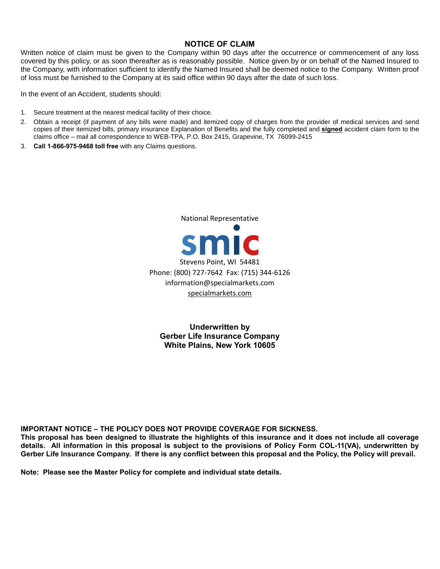### **NOTICE OF CLAIM**

Written notice of claim must be given to the Company within 90 days after the occurrence or commencement of any loss covered by this policy, or as soon thereafter as is reasonably possible. Notice given by or on behalf of the Named Insured to the Company, with information sufficient to identify the Named Insured shall be deemed notice to the Company. Written proof of loss must be furnished to the Company at its said office within 90 days after the date of such loss.

In the event of an Accident, students should:

- 1. Secure treatment at the nearest medical facility of their choice.
- 2. Obtain a receipt (if payment of any bills were made) and itemized copy of charges from the provider of medical services and send copies of their itemized bills, primary insurance Explanation of Benefits and the fully completed and **signed** accident claim form to the claims office – mail all correspondence to WEB-TPA, P.O. Box 2415, Grapevine, TX 76099-2415
- 3. **Call 1-866-975-9468 toll free** with any Claims questions.

smic Stevens Point, WI 54481 Phone: (800) 727-7642 Fax: (715) 344-6126 information@specialmarkets.com [specialmarkets.com](http://www.specialmarkets.com/)

National Representative

**Underwritten by Gerber Life Insurance Company White Plains, New York 10605**

**IMPORTANT NOTICE – THE POLICY DOES NOT PROVIDE COVERAGE FOR SICKNESS.**

**This proposal has been designed to illustrate the highlights of this insurance and it does not include all coverage details. All information in this proposal is subject to the provisions of Policy Form COL-11(VA), underwritten by Gerber Life Insurance Company. If there is any conflict between this proposal and the Policy, the Policy will prevail.**

**Note: Please see the Master Policy for complete and individual state details.**